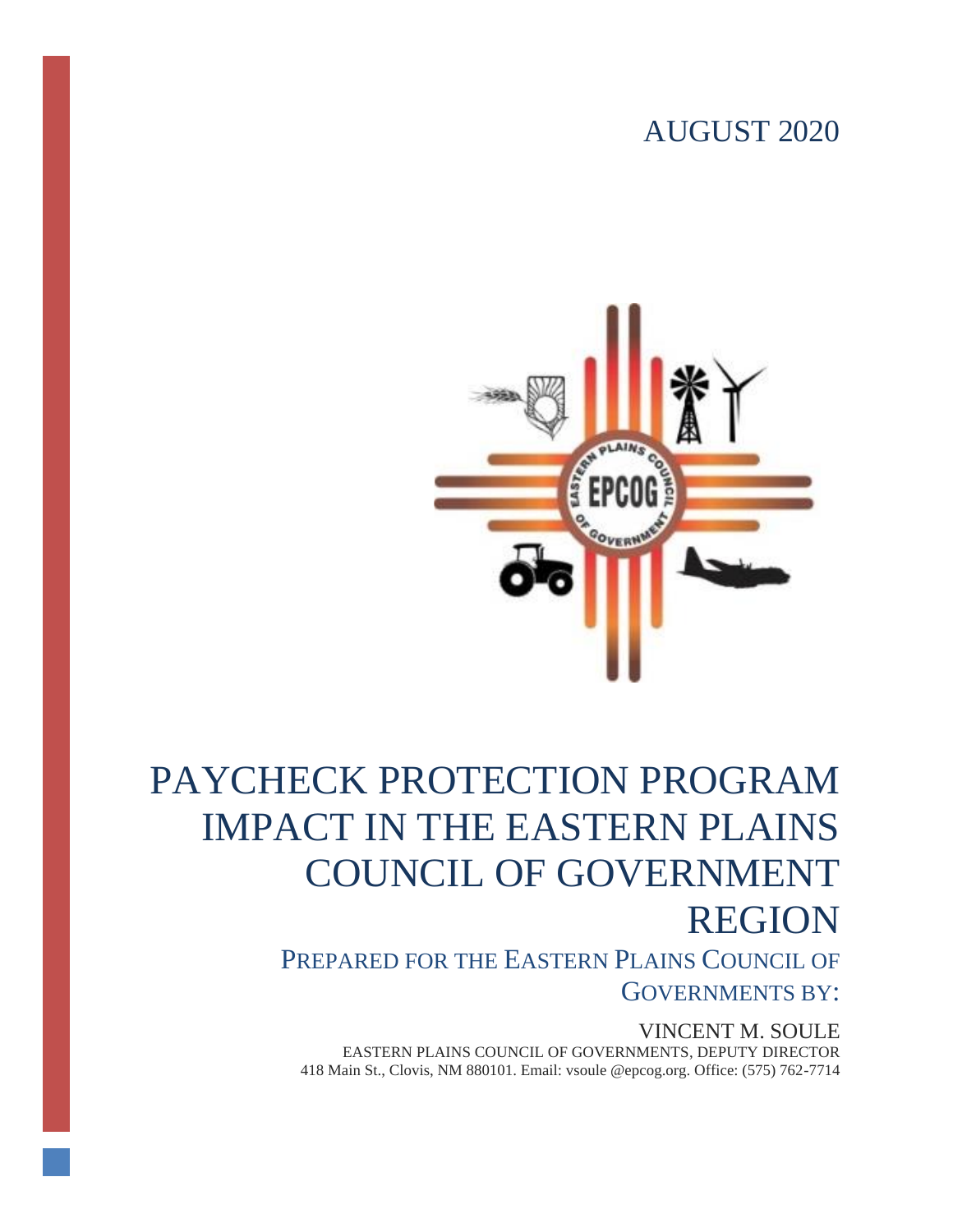# AUGUST 2020



# PAYCHECK PROTECTION PROGRAM IMPACT IN THE EASTERN PLAINS COUNCIL OF GOVERNMENT REGION

PREPARED FOR THE EASTERN PLAINS COUNCIL OF GOVERNMENTS BY:

VINCENT M. SOULE EASTERN PLAINS COUNCIL OF GOVERNMENTS, DEPUTY DIRECTOR 418 Main St., Clovis, NM 880101. Email: vsoule @epcog.org. Office: (575) 762-7714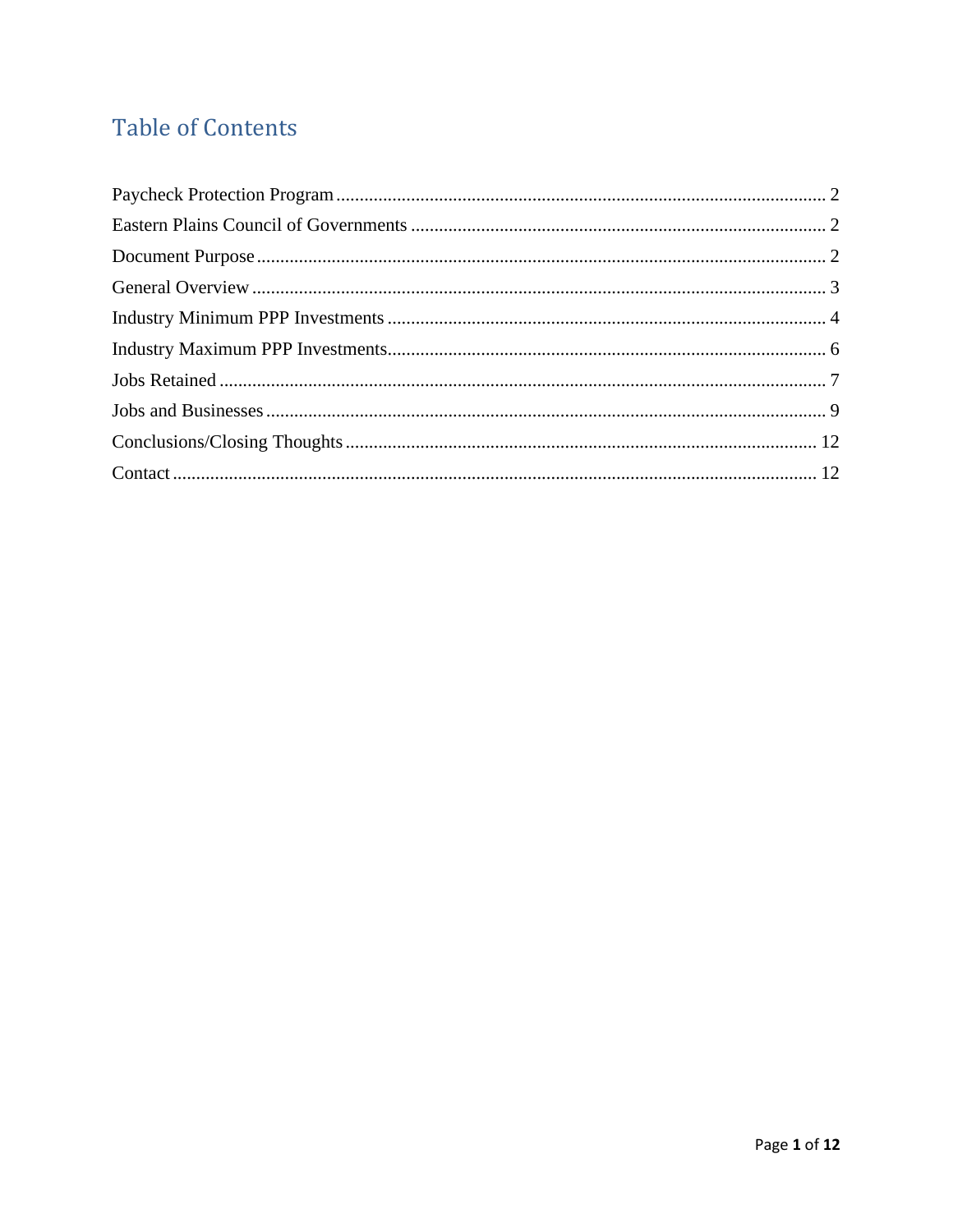# **Table of Contents**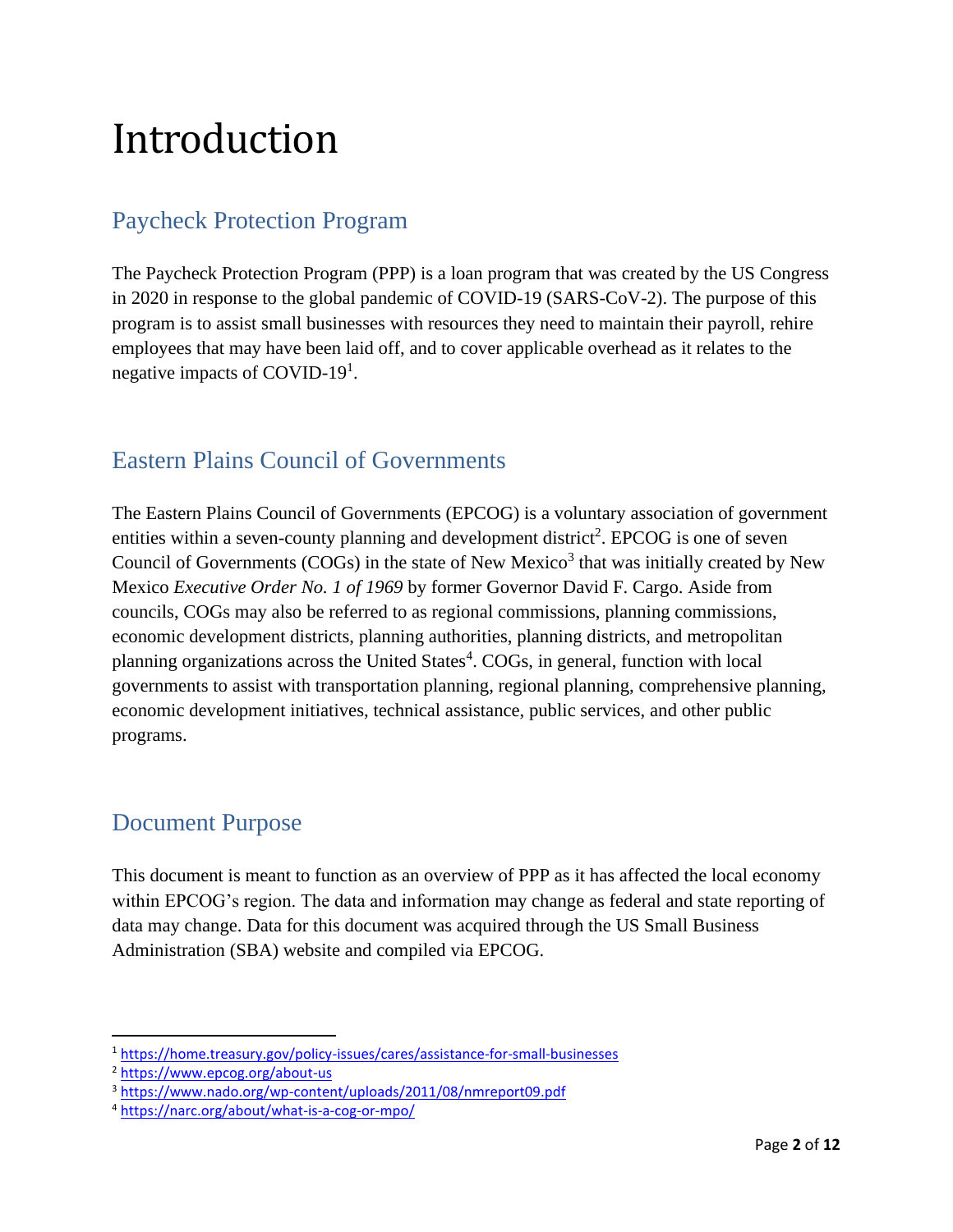# Introduction

# <span id="page-2-0"></span>Paycheck Protection Program

The Paycheck Protection Program (PPP) is a loan program that was created by the US Congress in 2020 in response to the global pandemic of COVID-19 (SARS-CoV-2). The purpose of this program is to assist small businesses with resources they need to maintain their payroll, rehire employees that may have been laid off, and to cover applicable overhead as it relates to the negative impacts of COVID-19<sup>1</sup>.

### <span id="page-2-1"></span>Eastern Plains Council of Governments

The Eastern Plains Council of Governments (EPCOG) is a voluntary association of government entities within a seven-county planning and development district<sup>2</sup>. EPCOG is one of seven Council of Governments (COGs) in the state of New Mexico<sup>3</sup> that was initially created by New Mexico *Executive Order No. 1 of 1969* by former Governor David F. Cargo. Aside from councils, COGs may also be referred to as regional commissions, planning commissions, economic development districts, planning authorities, planning districts, and metropolitan planning organizations across the United States<sup>4</sup>. COGs, in general, function with local governments to assist with transportation planning, regional planning, comprehensive planning, economic development initiatives, technical assistance, public services, and other public programs.

#### <span id="page-2-2"></span>Document Purpose

This document is meant to function as an overview of PPP as it has affected the local economy within EPCOG's region. The data and information may change as federal and state reporting of data may change. Data for this document was acquired through the US Small Business Administration (SBA) website and compiled via EPCOG.

<sup>1</sup> <https://home.treasury.gov/policy-issues/cares/assistance-for-small-businesses>

<sup>2</sup> <https://www.epcog.org/about-us>

<sup>3</sup> <https://www.nado.org/wp-content/uploads/2011/08/nmreport09.pdf>

<sup>4</sup> <https://narc.org/about/what-is-a-cog-or-mpo/>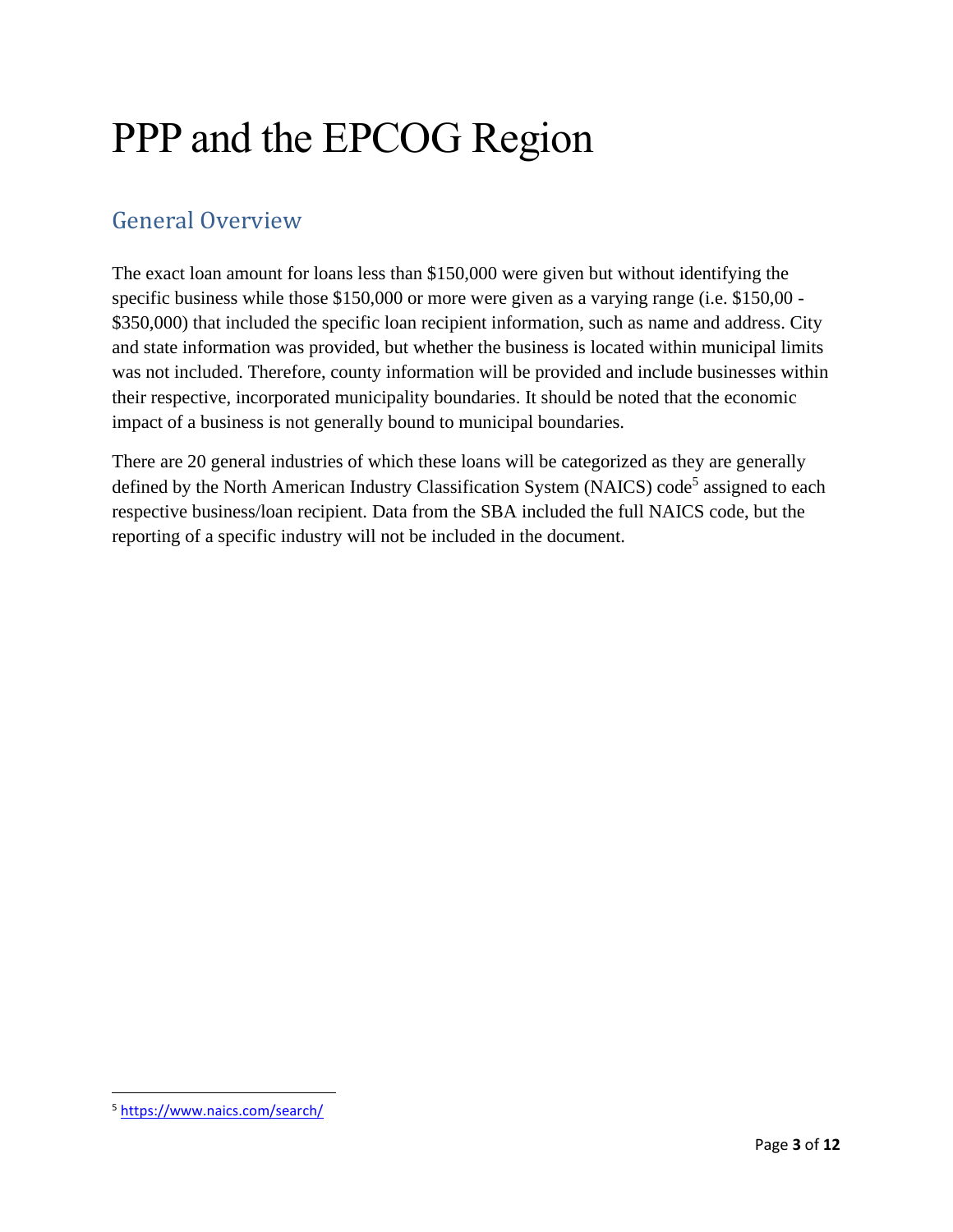# PPP and the EPCOG Region

# <span id="page-3-0"></span>General Overview

The exact loan amount for loans less than \$150,000 were given but without identifying the specific business while those \$150,000 or more were given as a varying range (i.e. \$150,00 - \$350,000) that included the specific loan recipient information, such as name and address. City and state information was provided, but whether the business is located within municipal limits was not included. Therefore, county information will be provided and include businesses within their respective, incorporated municipality boundaries. It should be noted that the economic impact of a business is not generally bound to municipal boundaries.

There are 20 general industries of which these loans will be categorized as they are generally defined by the North American Industry Classification System (NAICS) code<sup>5</sup> assigned to each respective business/loan recipient. Data from the SBA included the full NAICS code, but the reporting of a specific industry will not be included in the document.

<sup>5</sup> <https://www.naics.com/search/>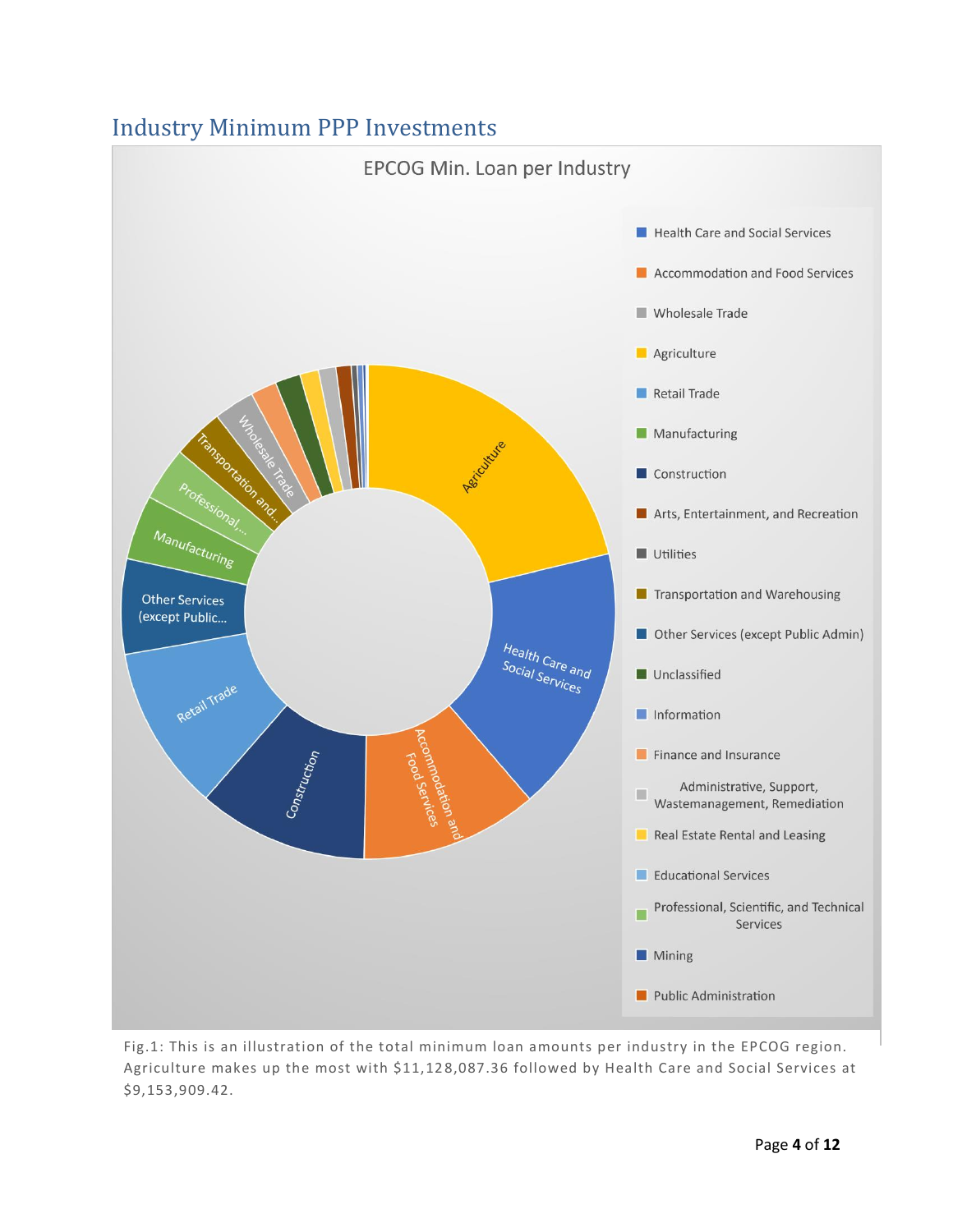#### <span id="page-4-0"></span>Industry Minimum PPP Investments



Fig.1: This is an illustration of the total minimum loan amounts per industry in the EPCOG region. Agriculture makes up the most with \$11,12 8,087.36 followed by Health Care and Social Services at \$9,153,909.42.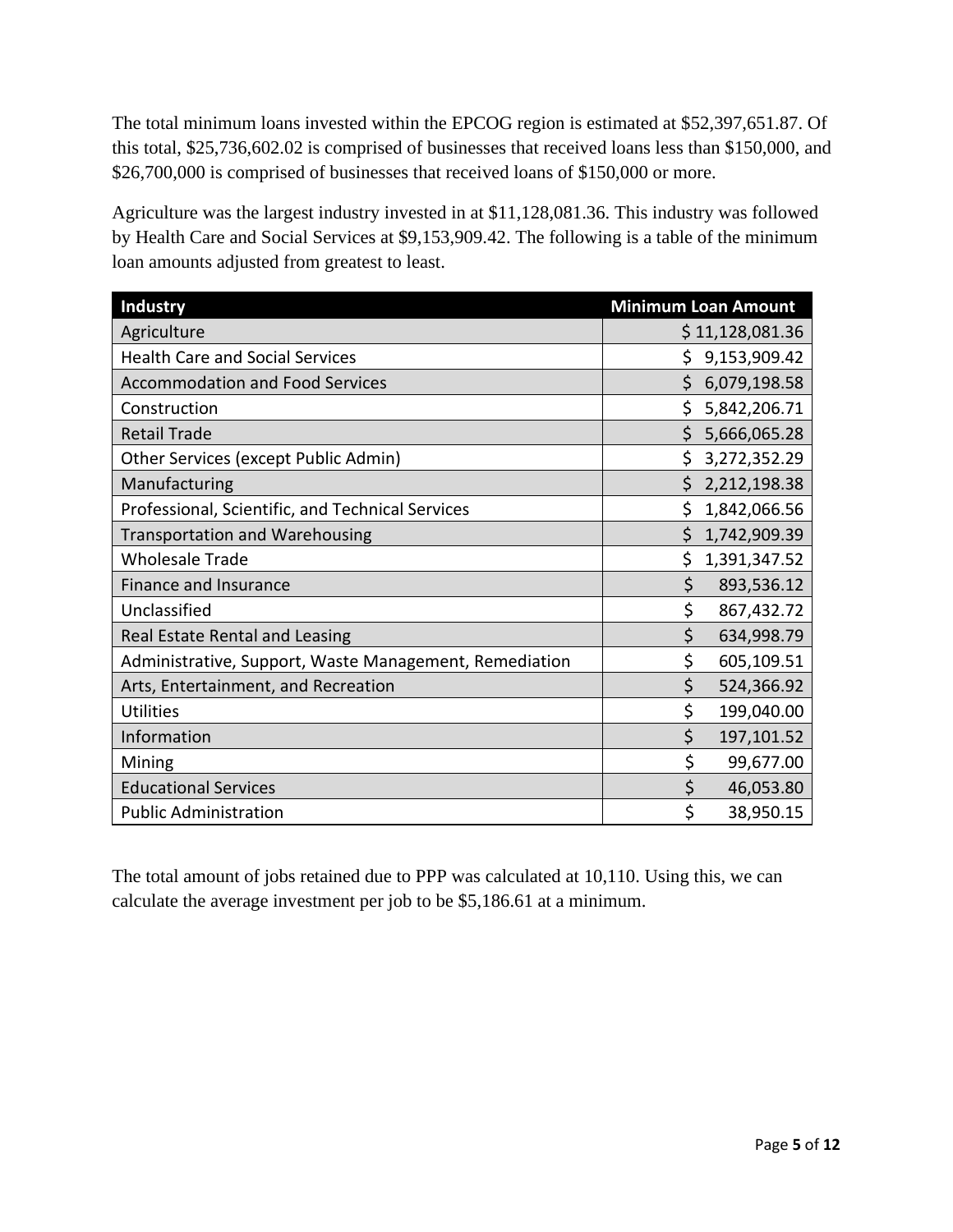The total minimum loans invested within the EPCOG region is estimated at \$52,397,651.87. Of this total, \$25,736,602.02 is comprised of businesses that received loans less than \$150,000, and \$26,700,000 is comprised of businesses that received loans of \$150,000 or more.

Agriculture was the largest industry invested in at \$11,128,081.36. This industry was followed by Health Care and Social Services at \$9,153,909.42. The following is a table of the minimum loan amounts adjusted from greatest to least.

| <b>Industry</b>                                        | <b>Minimum Loan Amount</b> |
|--------------------------------------------------------|----------------------------|
| Agriculture                                            | \$11,128,081.36            |
| <b>Health Care and Social Services</b>                 | Ś.<br>9,153,909.42         |
| <b>Accommodation and Food Services</b>                 | \$<br>6,079,198.58         |
| Construction                                           | 5,842,206.71               |
| <b>Retail Trade</b>                                    | Ś<br>5,666,065.28          |
| Other Services (except Public Admin)                   | \$<br>3,272,352.29         |
| Manufacturing                                          | 2,212,198.38               |
| Professional, Scientific, and Technical Services       | Ś<br>1,842,066.56          |
| <b>Transportation and Warehousing</b>                  | \$<br>1,742,909.39         |
| <b>Wholesale Trade</b>                                 | \$<br>1,391,347.52         |
| Finance and Insurance                                  | \$<br>893,536.12           |
| Unclassified                                           | \$<br>867,432.72           |
| Real Estate Rental and Leasing                         | \$<br>634,998.79           |
| Administrative, Support, Waste Management, Remediation | \$<br>605,109.51           |
| Arts, Entertainment, and Recreation                    | \$<br>524,366.92           |
| <b>Utilities</b>                                       | \$<br>199,040.00           |
| Information                                            | \$<br>197,101.52           |
| Mining                                                 | \$<br>99,677.00            |
| <b>Educational Services</b>                            | \$<br>46,053.80            |
| <b>Public Administration</b>                           | \$<br>38,950.15            |

The total amount of jobs retained due to PPP was calculated at 10,110. Using this, we can calculate the average investment per job to be \$5,186.61 at a minimum.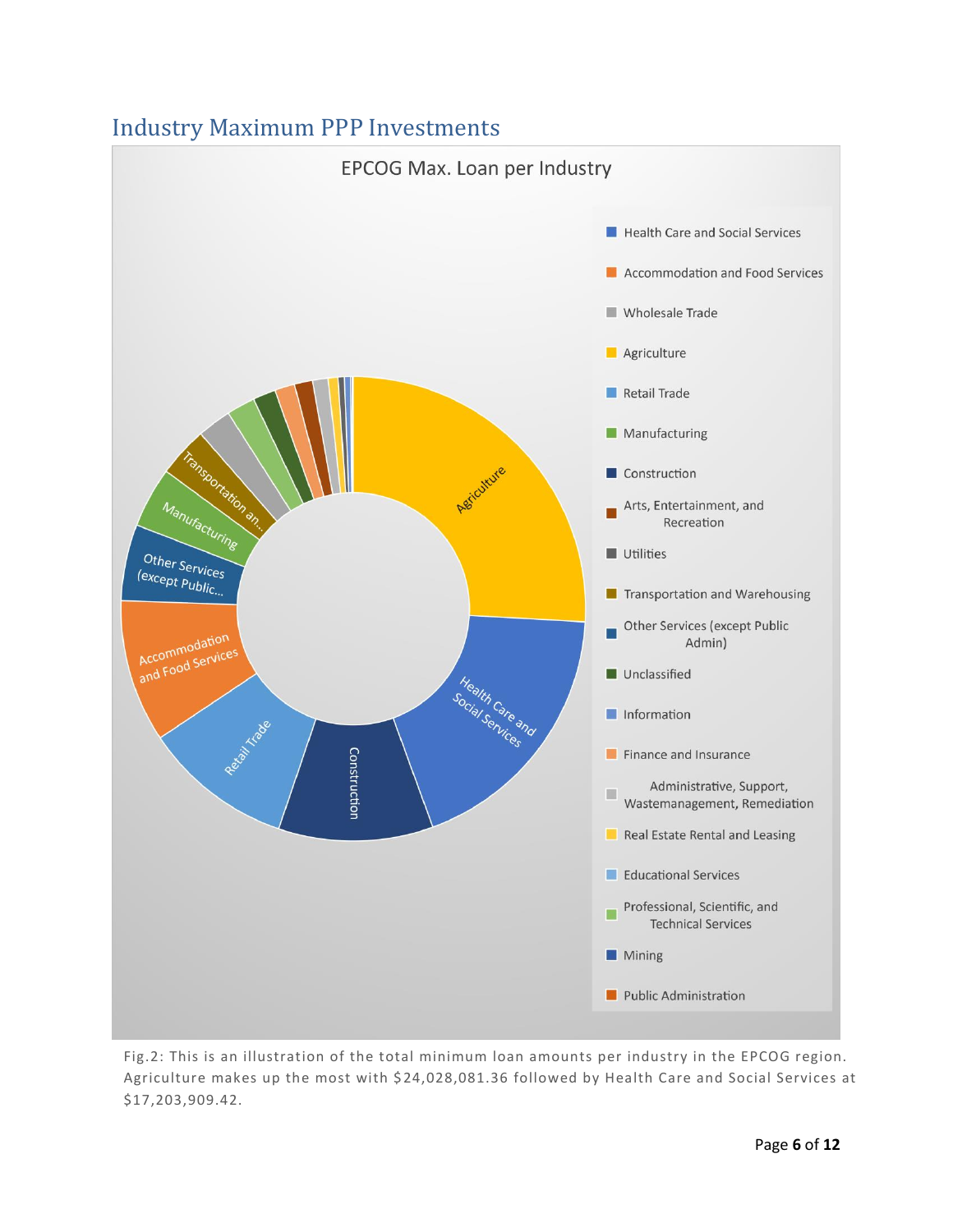#### <span id="page-6-0"></span>Industry Maximum PPP Investments



Fig.2: This is an illustration of the total minimum loan amounts per industry in the EPCOG region. Agriculture makes up the most with \$24,028,081.36 followed by Health Care and Social Services at \$17,203,909.42.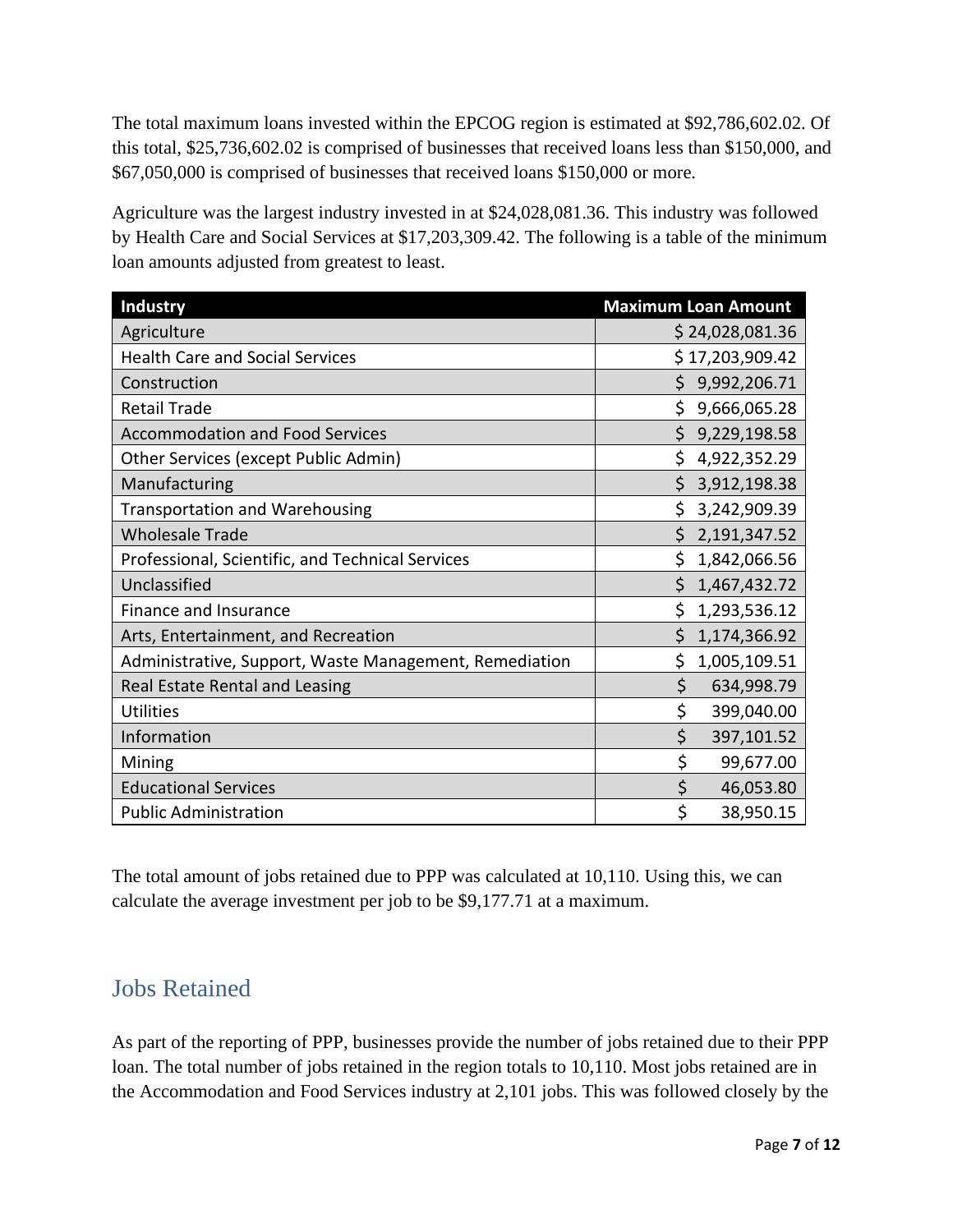The total maximum loans invested within the EPCOG region is estimated at \$92,786,602.02. Of this total, \$25,736,602.02 is comprised of businesses that received loans less than \$150,000, and \$67,050,000 is comprised of businesses that received loans \$150,000 or more.

Agriculture was the largest industry invested in at \$24,028,081.36. This industry was followed by Health Care and Social Services at \$17,203,309.42. The following is a table of the minimum loan amounts adjusted from greatest to least.

| Industry                                               | <b>Maximum Loan Amount</b> |
|--------------------------------------------------------|----------------------------|
| Agriculture                                            | \$24,028,081.36            |
| <b>Health Care and Social Services</b>                 | \$17,203,909.42            |
| Construction                                           | \$<br>9,992,206.71         |
| <b>Retail Trade</b>                                    | \$9,666,065.28             |
| <b>Accommodation and Food Services</b>                 | \$<br>9,229,198.58         |
| Other Services (except Public Admin)                   | Ś.<br>4,922,352.29         |
| Manufacturing                                          | \$<br>3,912,198.38         |
| <b>Transportation and Warehousing</b>                  | \$<br>3,242,909.39         |
| <b>Wholesale Trade</b>                                 | \$2,191,347.52             |
| Professional, Scientific, and Technical Services       | \$<br>1,842,066.56         |
| Unclassified                                           | \$<br>1,467,432.72         |
| Finance and Insurance                                  | \$<br>1,293,536.12         |
| Arts, Entertainment, and Recreation                    | Ś.<br>1,174,366.92         |
| Administrative, Support, Waste Management, Remediation | \$<br>1,005,109.51         |
| Real Estate Rental and Leasing                         | \$<br>634,998.79           |
| <b>Utilities</b>                                       | \$<br>399,040.00           |
| Information                                            | \$<br>397,101.52           |
| Mining                                                 | \$<br>99,677.00            |
| <b>Educational Services</b>                            | \$<br>46,053.80            |
| <b>Public Administration</b>                           | \$<br>38,950.15            |

The total amount of jobs retained due to PPP was calculated at 10,110. Using this, we can calculate the average investment per job to be \$9,177.71 at a maximum.

#### <span id="page-7-0"></span>Jobs Retained

As part of the reporting of PPP, businesses provide the number of jobs retained due to their PPP loan. The total number of jobs retained in the region totals to 10,110. Most jobs retained are in the Accommodation and Food Services industry at 2,101 jobs. This was followed closely by the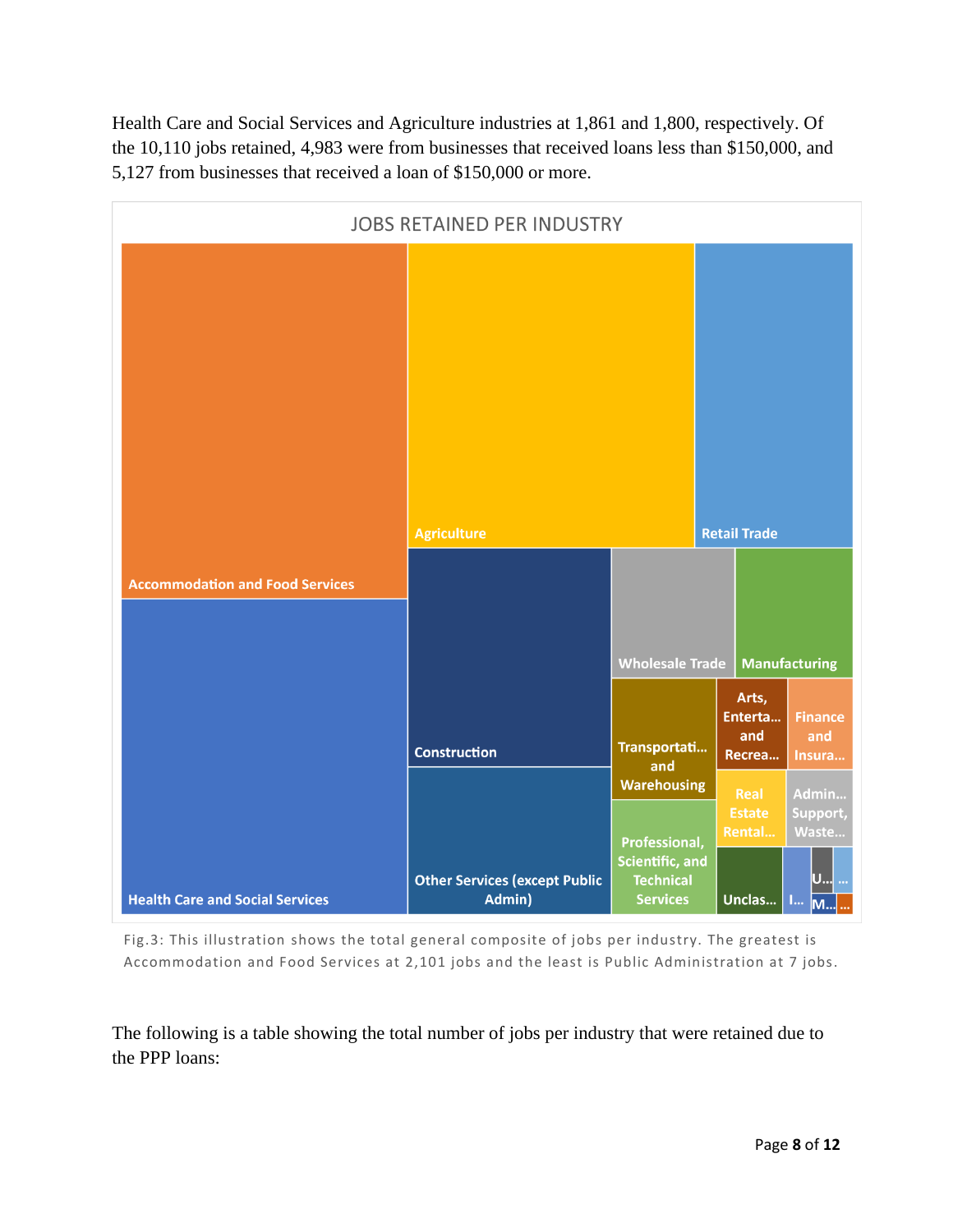Health Care and Social Services and Agriculture industries at 1,861 and 1,800, respectively. Of the 10,110 jobs retained, 4,983 were from businesses that received loans less than \$150,000, and 5,127 from businesses that received a loan of \$150,000 or more.



Fig.3: This illustration shows the total general composite of jobs per industry. The greatest is Accommodation and Food Services at 2,101 jobs and the least is Public Administration at 7 jobs.

The following is a table showing the total number of jobs per industry that were retained due to the PPP loans: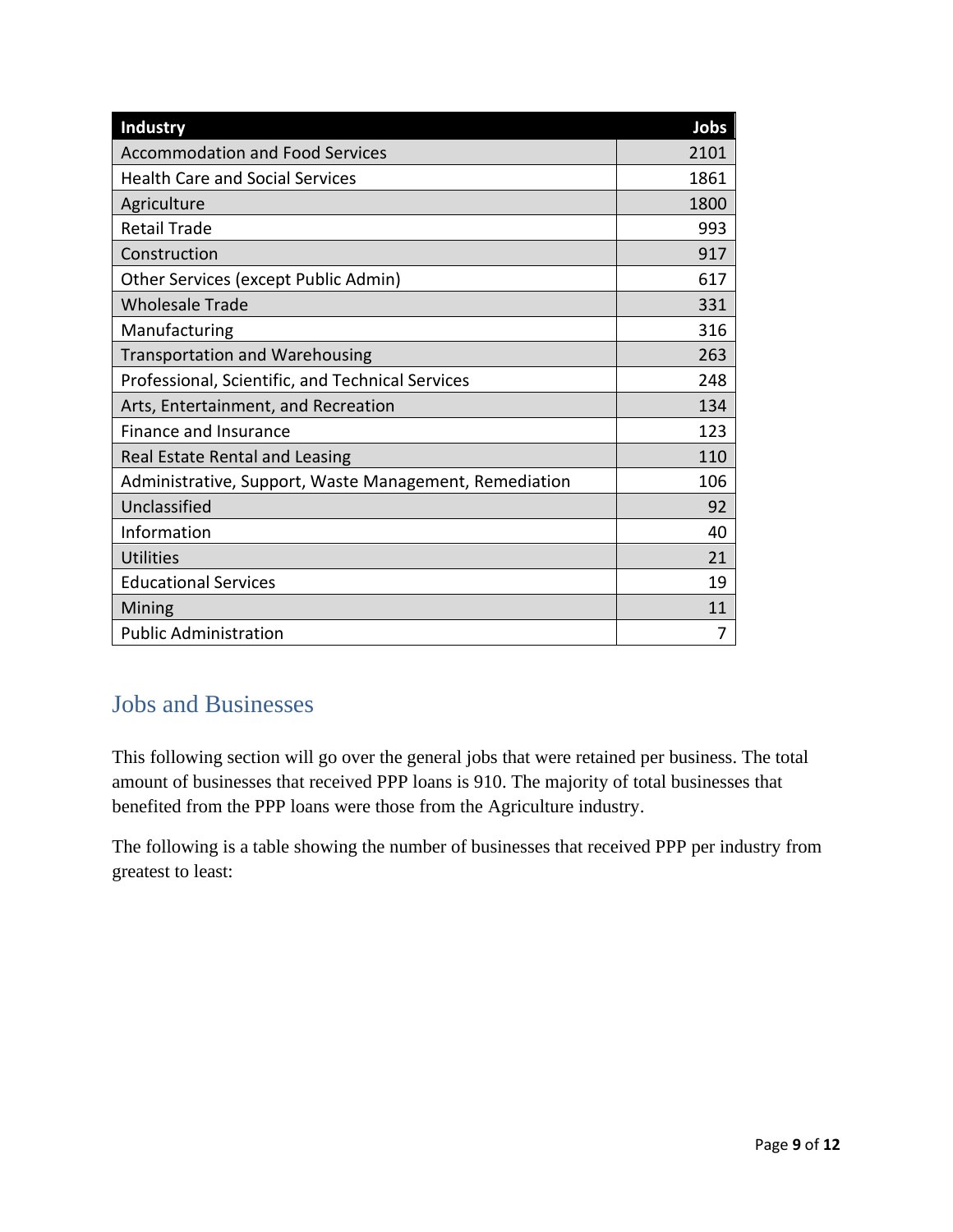| Industry                                               | Jobs |
|--------------------------------------------------------|------|
| <b>Accommodation and Food Services</b>                 | 2101 |
| <b>Health Care and Social Services</b>                 | 1861 |
| Agriculture                                            | 1800 |
| <b>Retail Trade</b>                                    | 993  |
| Construction                                           | 917  |
| Other Services (except Public Admin)                   | 617  |
| <b>Wholesale Trade</b>                                 | 331  |
| Manufacturing                                          | 316  |
| <b>Transportation and Warehousing</b>                  | 263  |
| Professional, Scientific, and Technical Services       | 248  |
| Arts, Entertainment, and Recreation                    | 134  |
| Finance and Insurance                                  | 123  |
| Real Estate Rental and Leasing                         | 110  |
| Administrative, Support, Waste Management, Remediation | 106  |
| Unclassified                                           | 92   |
| Information                                            | 40   |
| <b>Utilities</b>                                       | 21   |
| <b>Educational Services</b>                            | 19   |
| Mining                                                 | 11   |
| <b>Public Administration</b>                           | 7    |

#### <span id="page-9-0"></span>Jobs and Businesses

This following section will go over the general jobs that were retained per business. The total amount of businesses that received PPP loans is 910. The majority of total businesses that benefited from the PPP loans were those from the Agriculture industry.

The following is a table showing the number of businesses that received PPP per industry from greatest to least: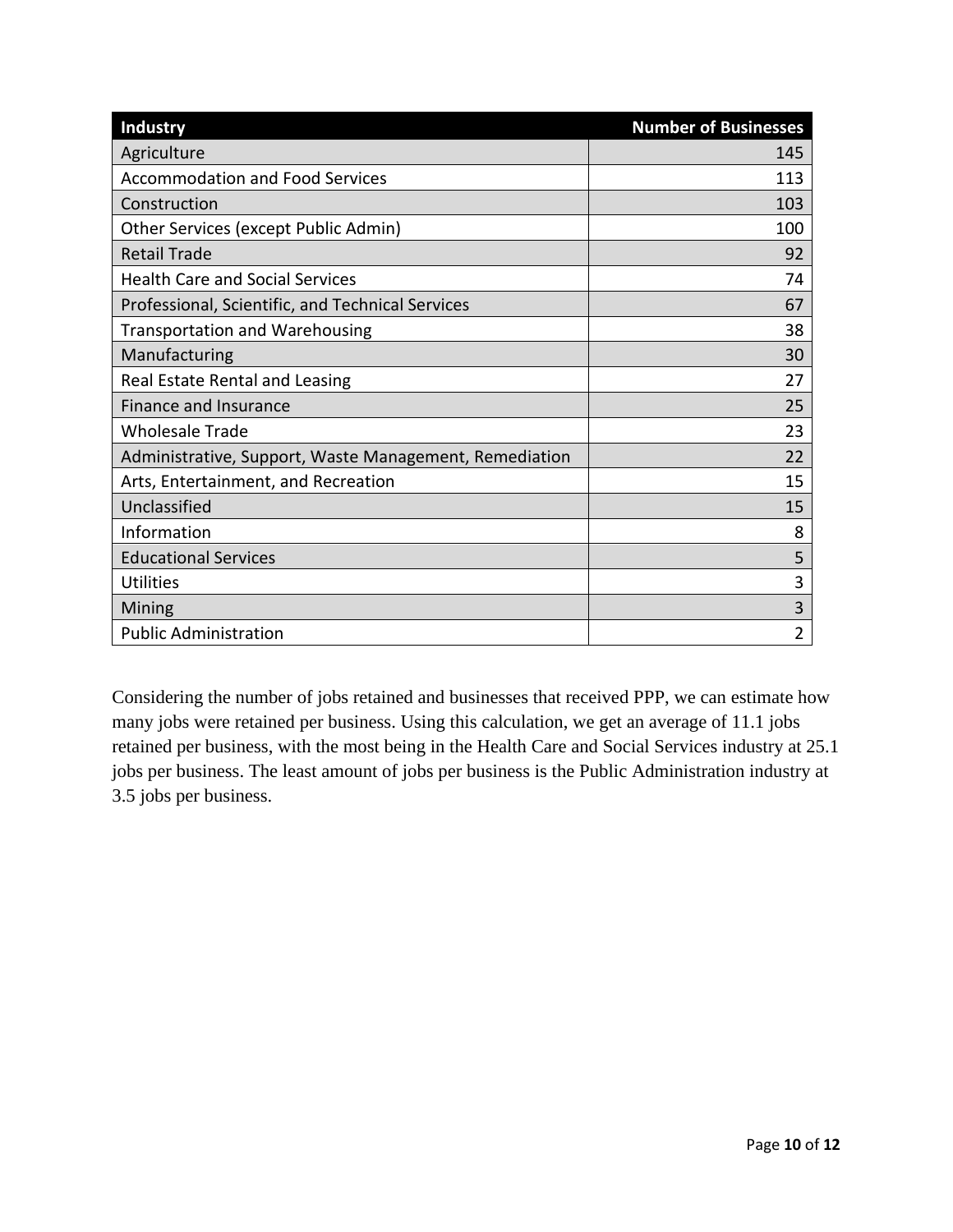| <b>Industry</b>                                        | <b>Number of Businesses</b> |
|--------------------------------------------------------|-----------------------------|
| Agriculture                                            | 145                         |
| <b>Accommodation and Food Services</b>                 | 113                         |
| Construction                                           | 103                         |
| Other Services (except Public Admin)                   | 100                         |
| <b>Retail Trade</b>                                    | 92                          |
| <b>Health Care and Social Services</b>                 | 74                          |
| Professional, Scientific, and Technical Services       | 67                          |
| <b>Transportation and Warehousing</b>                  | 38                          |
| Manufacturing                                          | 30                          |
| Real Estate Rental and Leasing                         | 27                          |
| <b>Finance and Insurance</b>                           | 25                          |
| <b>Wholesale Trade</b>                                 | 23                          |
| Administrative, Support, Waste Management, Remediation | 22                          |
| Arts, Entertainment, and Recreation                    | 15                          |
| Unclassified                                           | 15                          |
| Information                                            | 8                           |
| <b>Educational Services</b>                            | 5                           |
| <b>Utilities</b>                                       | 3                           |
| Mining                                                 | 3                           |
| <b>Public Administration</b>                           | $\overline{2}$              |

Considering the number of jobs retained and businesses that received PPP, we can estimate how many jobs were retained per business. Using this calculation, we get an average of 11.1 jobs retained per business, with the most being in the Health Care and Social Services industry at 25.1 jobs per business. The least amount of jobs per business is the Public Administration industry at 3.5 jobs per business.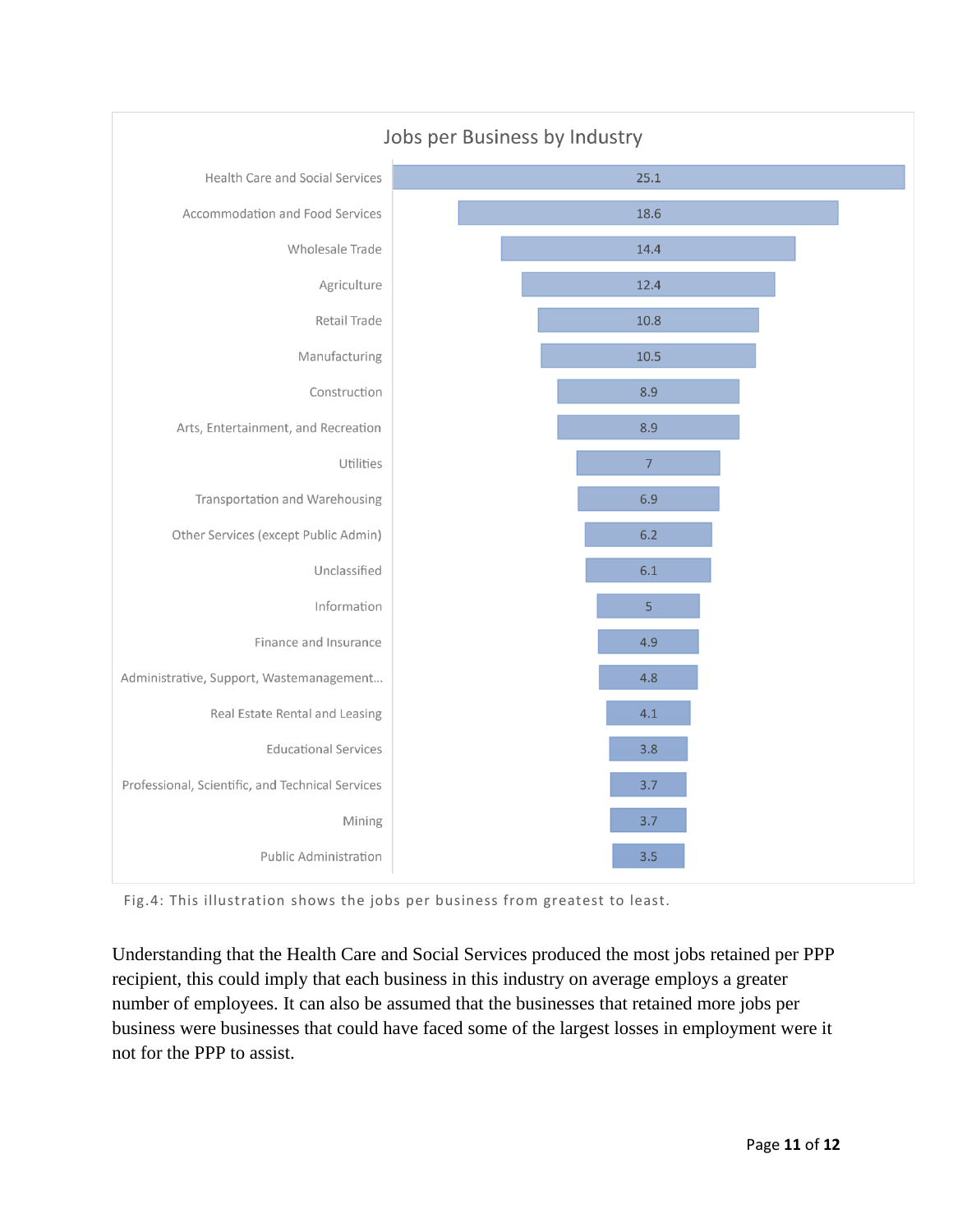

Fig.4: This illustration shows the jobs per business from greatest to least.

Understanding that the Health Care and Social Services produced the most jobs retained per PPP recipient, this could imply that each business in this industry on average employs a greater number of employees. It can also be assumed that the businesses that retained more jobs per business were businesses that could have faced some of the largest losses in employment were it not for the PPP to assist.